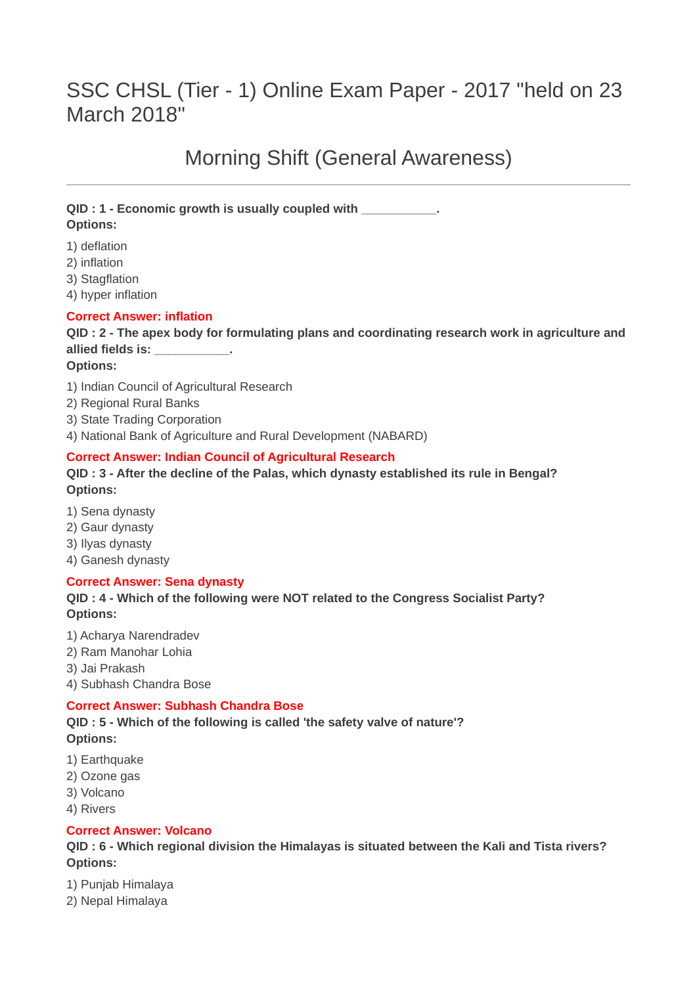# SSC CHSL (Tier - 1) Online Exam Paper - 2017 "held on 23 March 2018"

# Morning Shift (General Awareness)

# **QID : 1 - Economic growth is usually coupled with \_\_\_\_\_\_\_\_\_\_\_. Options:**

- 1) deflation
- 2) inflation
- 3) Stagflation
- 4) hyper inflation

# **Correct Answer: inflation**

# **QID : 2 - The apex body for formulating plans and coordinating research work in agriculture and allied fields is: \_\_\_\_\_\_\_\_\_\_\_.**

- **Options:**
- 1) Indian Council of Agricultural Research
- 2) Regional Rural Banks
- 3) State Trading Corporation
- 4) National Bank of Agriculture and Rural Development (NABARD)

# **Correct Answer: Indian Council of Agricultural Research**

#### **QID : 3 - After the decline of the Palas, which dynasty established its rule in Bengal? Options:**

- 1) Sena dynasty
- 2) Gaur dynasty
- 3) Ilyas dynasty
- 4) Ganesh dynasty

# **Correct Answer: Sena dynasty**

# **QID : 4 - Which of the following were NOT related to the Congress Socialist Party? Options:**

- 1) Acharya Narendradev
- 2) Ram Manohar Lohia
- 3) Jai Prakash
- 4) Subhash Chandra Bose

# **Correct Answer: Subhash Chandra Bose**

**QID : 5 - Which of the following is called 'the safety valve of nature'? Options:**

- 1) Earthquake
- 2) Ozone gas
- 3) Volcano
- 4) Rivers

# **Correct Answer: Volcano**

**QID : 6 - Which regional division the Himalayas is situated between the Kali and Tista rivers? Options:**

- 1) Punjab Himalaya
- 2) Nepal Himalaya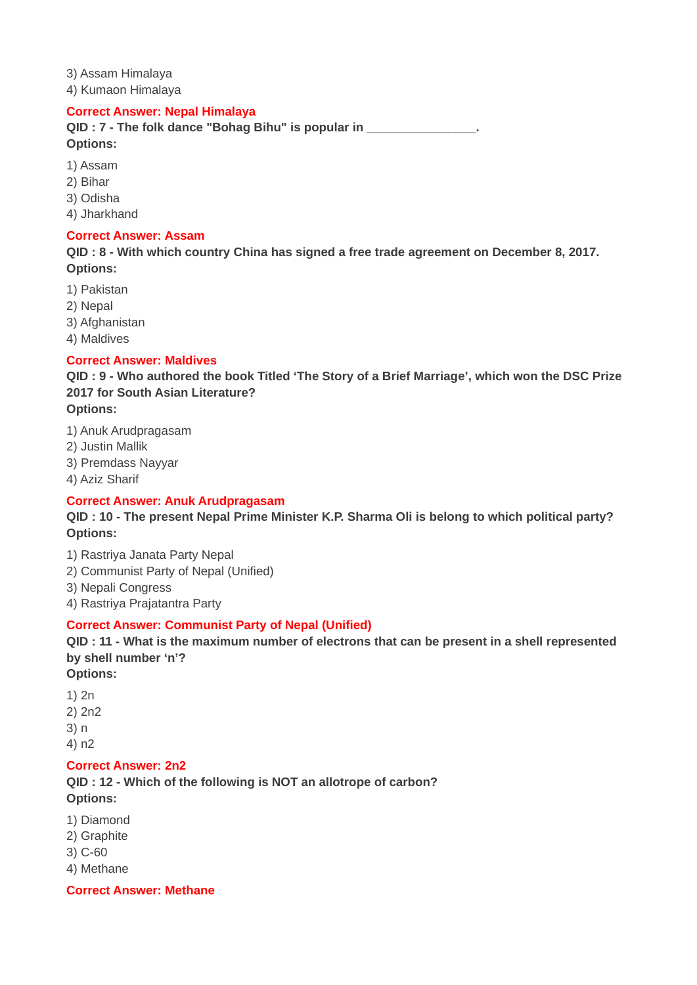3) Assam Himalaya 4) Kumaon Himalaya

#### **Correct Answer: Nepal Himalaya**

**QID : 7 - The folk dance "Bohag Bihu" is popular in \_\_\_\_\_\_\_\_\_\_\_\_\_\_\_\_. Options:**

- 1) Assam
- 2) Bihar
- 3) Odisha
- 4) Jharkhand

#### **Correct Answer: Assam**

**QID : 8 - With which country China has signed a free trade agreement on December 8, 2017. Options:**

- 1) Pakistan
- 2) Nepal
- 3) Afghanistan
- 4) Maldives

# **Correct Answer: Maldives**

**QID : 9 - Who authored the book Titled 'The Story of a Brief Marriage', which won the DSC Prize 2017 for South Asian Literature?**

- **Options:**
- 1) Anuk Arudpragasam
- 2) Justin Mallik
- 3) Premdass Nayyar
- 4) Aziz Sharif

# **Correct Answer: Anuk Arudpragasam**

**QID : 10 - The present Nepal Prime Minister K.P. Sharma Oli is belong to which political party? Options:**

- 1) Rastriya Janata Party Nepal
- 2) Communist Party of Nepal (Unified)
- 3) Nepali Congress
- 4) Rastriya Prajatantra Party

# **Correct Answer: Communist Party of Nepal (Unified)**

**QID : 11 - What is the maximum number of electrons that can be present in a shell represented by shell number 'n'?**

- **Options:**
- 1) 2n
- 2) 2n2
- 3) n
- 4) n2

# **Correct Answer: 2n2**

**QID : 12 - Which of the following is NOT an allotrope of carbon? Options:**

- 1) Diamond
- 2) Graphite
- 3) C-60
- 4) Methane

**Correct Answer: Methane**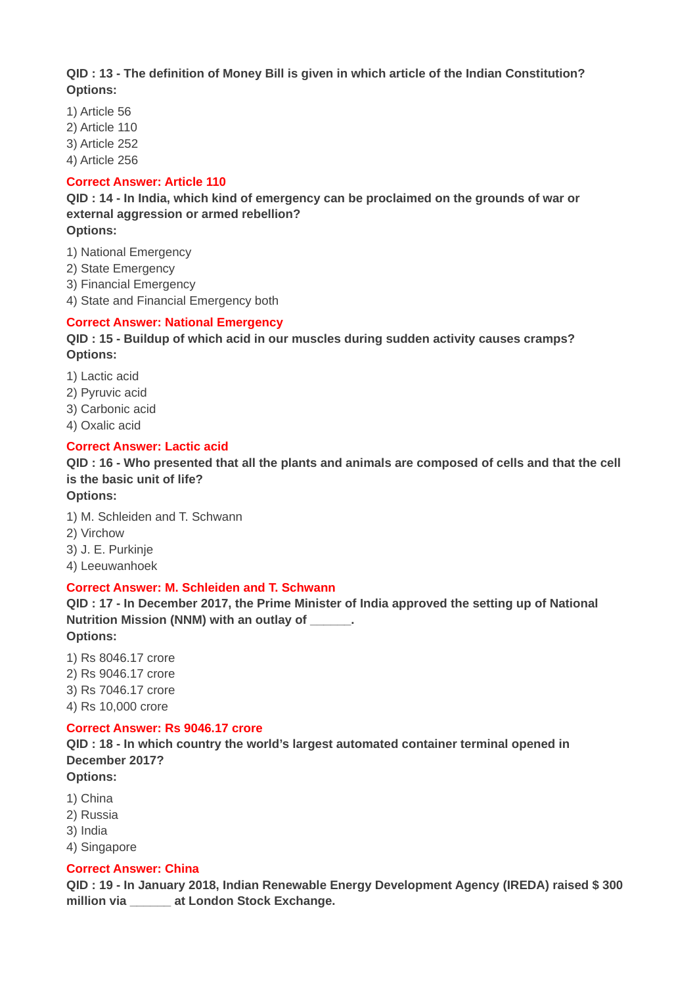**QID : 13 - The definition of Money Bill is given in which article of the Indian Constitution? Options:**

- 1) Article 56
- 2) Article 110
- 3) Article 252
- 4) Article 256

#### **Correct Answer: Article 110**

**QID : 14 - In India, which kind of emergency can be proclaimed on the grounds of war or external aggression or armed rebellion?**

#### **Options:**

- 1) National Emergency
- 2) State Emergency
- 3) Financial Emergency
- 4) State and Financial Emergency both

#### **Correct Answer: National Emergency**

# **QID : 15 - Buildup of which acid in our muscles during sudden activity causes cramps? Options:**

- 1) Lactic acid
- 2) Pyruvic acid
- 3) Carbonic acid
- 4) Oxalic acid

#### **Correct Answer: Lactic acid**

# **QID : 16 - Who presented that all the plants and animals are composed of cells and that the cell is the basic unit of life?**

# **Options:**

1) M. Schleiden and T. Schwann 2) Virchow 3) J. E. Purkinje 4) Leeuwanhoek

# **Correct Answer: M. Schleiden and T. Schwann**

**QID : 17 - In December 2017, the Prime Minister of India approved the setting up of National Nutrition Mission (NNM) with an outlay of \_\_\_\_\_\_. Options:**

1) Rs 8046.17 crore 2) Rs 9046.17 crore 3) Rs 7046.17 crore 4) Rs 10,000 crore

# **Correct Answer: Rs 9046.17 crore**

**QID : 18 - In which country the world's largest automated container terminal opened in December 2017?**

- **Options:**
- 1) China
- 2) Russia
- 3) India
- 4) Singapore

# **Correct Answer: China**

**QID : 19 - In January 2018, Indian Renewable Energy Development Agency (IREDA) raised \$ 300 million via \_\_\_\_\_\_ at London Stock Exchange.**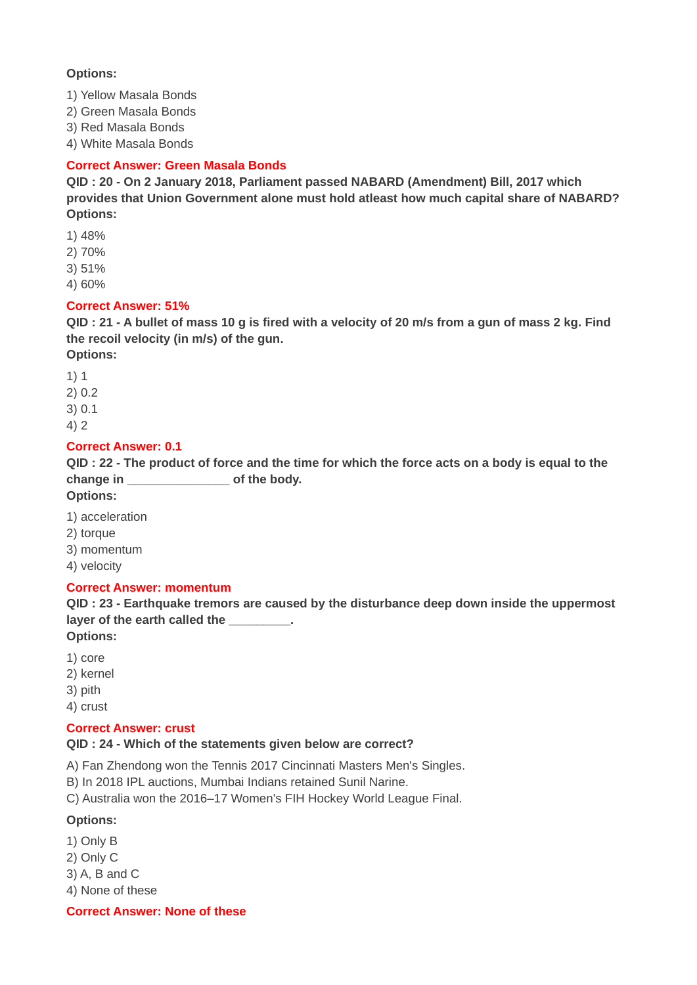# **Options:**

1) Yellow Masala Bonds

2) Green Masala Bonds

3) Red Masala Bonds

4) White Masala Bonds

# **Correct Answer: Green Masala Bonds**

**QID : 20 - On 2 January 2018, Parliament passed NABARD (Amendment) Bill, 2017 which provides that Union Government alone must hold atleast how much capital share of NABARD? Options:**

1) 48%

2) 70%

3) 51%

4) 60%

# **Correct Answer: 51%**

**QID : 21 - A bullet of mass 10 g is fired with a velocity of 20 m/s from a gun of mass 2 kg. Find the recoil velocity (in m/s) of the gun.**

**Options:**

- 1) 1 2) 0.2
- 3) 0.1
- 4) 2

# **Correct Answer: 0.1**

**QID : 22 - The product of force and the time for which the force acts on a body is equal to the change in \_\_\_\_\_\_\_\_\_\_\_\_\_\_\_ of the body.**

**Options:**

- 1) acceleration
- 2) torque
- 3) momentum
- 4) velocity

# **Correct Answer: momentum**

**QID : 23 - Earthquake tremors are caused by the disturbance deep down inside the uppermost layer of the earth called the \_\_\_\_\_\_\_\_\_.**

**Options:**

- 1) core
- 2) kernel
- 3) pith
- 4) crust

# **Correct Answer: crust**

# **QID : 24 - Which of the statements given below are correct?**

A) Fan Zhendong won the Tennis 2017 Cincinnati Masters Men's Singles.

B) In 2018 IPL auctions, Mumbai Indians retained Sunil Narine.

C) Australia won the 2016–17 Women's FIH Hockey World League Final.

# **Options:**

- 1) Only B
- 2) Only C
- 3) A, B and C

4) None of these

**Correct Answer: None of these**